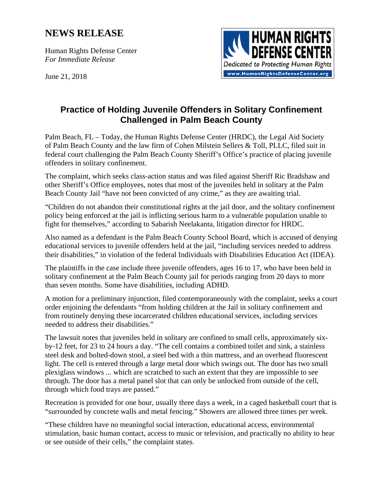## **NEWS RELEASE**

Human Rights Defense Center *For Immediate Release* 

June 21, 2018



## **Practice of Holding Juvenile Offenders in Solitary Confinement Challenged in Palm Beach County**

Palm Beach, FL – Today, the Human Rights Defense Center (HRDC), the Legal Aid Society of Palm Beach County and the law firm of Cohen Milstein Sellers & Toll, PLLC, filed suit in federal court challenging the Palm Beach County Sheriff's Office's practice of placing juvenile offenders in solitary confinement.

The complaint, which seeks class-action status and was filed against Sheriff Ric Bradshaw and other Sheriff's Office employees, notes that most of the juveniles held in solitary at the Palm Beach County Jail "have not been convicted of any crime," as they are awaiting trial.

"Children do not abandon their constitutional rights at the jail door, and the solitary confinement policy being enforced at the jail is inflicting serious harm to a vulnerable population unable to fight for themselves," according to Sabarish Neelakanta, litigation director for HRDC.

Also named as a defendant is the Palm Beach County School Board, which is accused of denying educational services to juvenile offenders held at the jail, "including services needed to address their disabilities," in violation of the federal Individuals with Disabilities Education Act (IDEA).

The plaintiffs in the case include three juvenile offenders, ages 16 to 17, who have been held in solitary confinement at the Palm Beach County jail for periods ranging from 20 days to more than seven months. Some have disabilities, including ADHD.

A motion for a preliminary injunction, filed contemporaneously with the complaint, seeks a court order enjoining the defendants "from holding children at the Jail in solitary confinement and from routinely denying these incarcerated children educational services, including services needed to address their disabilities."

The lawsuit notes that juveniles held in solitary are confined to small cells, approximately sixby-12 feet, for 23 to 24 hours a day. "The cell contains a combined toilet and sink, a stainless steel desk and bolted-down stool, a steel bed with a thin mattress, and an overhead fluorescent light. The cell is entered through a large metal door which swings out. The door has two small plexiglass windows ... which are scratched to such an extent that they are impossible to see through. The door has a metal panel slot that can only be unlocked from outside of the cell, through which food trays are passed."

Recreation is provided for one hour, usually three days a week, in a caged basketball court that is "surrounded by concrete walls and metal fencing." Showers are allowed three times per week.

"These children have no meaningful social interaction, educational access, environmental stimulation, basic human contact, access to music or television, and practically no ability to hear or see outside of their cells," the complaint states.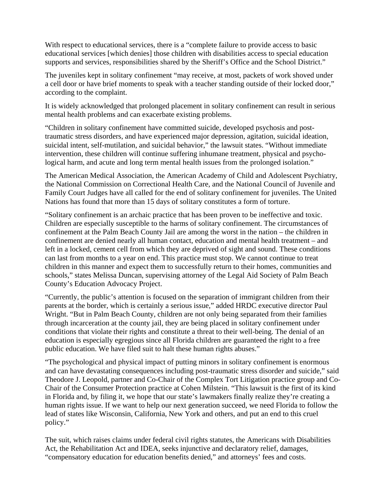With respect to educational services, there is a "complete failure to provide access to basic educational services [which denies] those children with disabilities access to special education supports and services, responsibilities shared by the Sheriff's Office and the School District."

The juveniles kept in solitary confinement "may receive, at most, packets of work shoved under a cell door or have brief moments to speak with a teacher standing outside of their locked door," according to the complaint.

It is widely acknowledged that prolonged placement in solitary confinement can result in serious mental health problems and can exacerbate existing problems.

"Children in solitary confinement have committed suicide, developed psychosis and posttraumatic stress disorders, and have experienced major depression, agitation, suicidal ideation, suicidal intent, self-mutilation, and suicidal behavior," the lawsuit states. "Without immediate intervention, these children will continue suffering inhumane treatment, physical and psychological harm, and acute and long term mental health issues from the prolonged isolation."

The American Medical Association, the American Academy of Child and Adolescent Psychiatry, the National Commission on Correctional Health Care, and the National Council of Juvenile and Family Court Judges have all called for the end of solitary confinement for juveniles. The United Nations has found that more than 15 days of solitary constitutes a form of torture.

"Solitary confinement is an archaic practice that has been proven to be ineffective and toxic. Children are especially susceptible to the harms of solitary confinement. The circumstances of confinement at the Palm Beach County Jail are among the worst in the nation – the children in confinement are denied nearly all human contact, education and mental health treatment – and left in a locked, cement cell from which they are deprived of sight and sound. These conditions can last from months to a year on end. This practice must stop. We cannot continue to treat children in this manner and expect them to successfully return to their homes, communities and schools," states Melissa Duncan, supervising attorney of the Legal Aid Society of Palm Beach County's Education Advocacy Project.

"Currently, the public's attention is focused on the separation of immigrant children from their parents at the border, which is certainly a serious issue," added HRDC executive director Paul Wright. "But in Palm Beach County, children are not only being separated from their families through incarceration at the county jail, they are being placed in solitary confinement under conditions that violate their rights and constitute a threat to their well-being. The denial of an education is especially egregious since all Florida children are guaranteed the right to a free public education. We have filed suit to halt these human rights abuses."

"The psychological and physical impact of putting minors in solitary confinement is enormous and can have devastating consequences including post-traumatic stress disorder and suicide," said Theodore J. Leopold, partner and Co-Chair of the Complex Tort Litigation practice group and Co-Chair of the Consumer Protection practice at Cohen Milstein. "This lawsuit is the first of its kind in Florida and, by filing it, we hope that our state's lawmakers finally realize they're creating a human rights issue. If we want to help our next generation succeed, we need Florida to follow the lead of states like Wisconsin, California, New York and others, and put an end to this cruel policy."

The suit, which raises claims under federal civil rights statutes, the Americans with Disabilities Act, the Rehabilitation Act and IDEA, seeks injunctive and declaratory relief, damages, "compensatory education for education benefits denied," and attorneys' fees and costs.